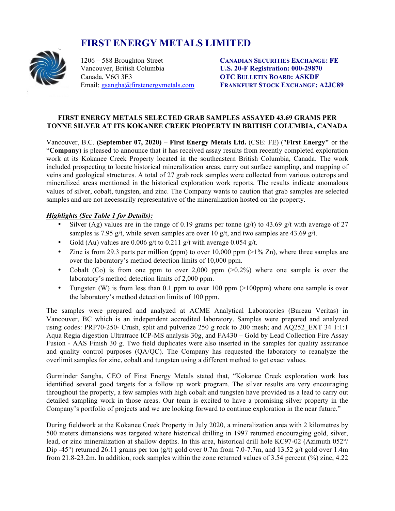# **FIRST ENERGY METALS LIMITED**



Vancouver, British Columbia **U.S. 20-F Registration: 000-29870** Canada, V6G 3E3 **OTC BULLETIN BOARD: ASKDF**

1206 – 588 Broughton Street **CANADIAN SECURITIES EXCHANGE: FE** Email: gsangha@firstenergymetals.com **FRANKFURT STOCK EXCHANGE: A2JC89**

### **FIRST ENERGY METALS SELECTED GRAB SAMPLES ASSAYED 43.69 GRAMS PER TONNE SILVER AT ITS KOKANEE CREEK PROPERTY IN BRITISH COLUMBIA, CANADA**

Vancouver, B.C. **(September 07, 2020)** – **First Energy Metals Ltd.** (CSE: FE) ("**First Energy"** or the "**Company**) is pleased to announce that it has received assay results from recently completed exploration work at its Kokanee Creek Property located in the southeastern British Columbia, Canada. The work included prospecting to locate historical mineralization areas, carry out surface sampling, and mapping of veins and geological structures. A total of 27 grab rock samples were collected from various outcrops and mineralized areas mentioned in the historical exploration work reports. The results indicate anomalous values of silver, cobalt, tungsten, and zinc. The Company wants to caution that grab samples are selected samples and are not necessarily representative of the mineralization hosted on the property.

## *Highlights (See Table 1 for Details):*

- Silver (Ag) values are in the range of 0.19 grams per tonne (g/t) to 43.69 g/t with average of 27 samples is 7.95 g/t, while seven samples are over 10 g/t, and two samples are 43.69 g/t.
- Gold (Au) values are 0.006 g/t to 0.211 g/t with average 0.054 g/t.
- Zinc is from 29.3 parts per million (ppm) to over  $10,000$  ppm  $(>1\%$  Zn), where three samples are over the laboratory's method detection limits of 10,000 ppm.
- Cobalt (Co) is from one ppm to over 2,000 ppm  $(>0.2\%)$  where one sample is over the laboratory's method detection limits of 2,000 ppm.
- Tungsten (W) is from less than 0.1 ppm to over 100 ppm  $(>100$ ppm) where one sample is over the laboratory's method detection limits of 100 ppm.

The samples were prepared and analyzed at ACME Analytical Laboratories (Bureau Veritas) in Vancouver, BC which is an independent accredited laboratory. Samples were prepared and analyzed using codes: PRP70-250- Crush, split and pulverize 250 g rock to 200 mesh; and AQ252 EXT 34 1:1:1 Aqua Regia digestion Ultratrace ICP-MS analysis 30g, and FA430 – Gold by Lead Collection Fire Assay Fusion - AAS Finish 30 g. Two field duplicates were also inserted in the samples for quality assurance and quality control purposes (QA/QC). The Company has requested the laboratory to reanalyze the overlimit samples for zinc, cobalt and tungsten using a different method to get exact values.

Gurminder Sangha, CEO of First Energy Metals stated that, "Kokanee Creek exploration work has identified several good targets for a follow up work program. The silver results are very encouraging throughout the property, a few samples with high cobalt and tungsten have provided us a lead to carry out detailed sampling work in those areas. Our team is excited to have a promising silver property in the Company's portfolio of projects and we are looking forward to continue exploration in the near future."

During fieldwork at the Kokanee Creek Property in July 2020, a mineralization area with 2 kilometres by 500 meters dimensions was targeted where historical drilling in 1997 returned encouraging gold, silver, lead, or zinc mineralization at shallow depths. In this area, historical drill hole KC97-02 (Azimuth 052°/ Dip -45°) returned 26.11 grams per ton  $(g/t)$  gold over 0.7m from 7.0-7.7m, and 13.52 g/t gold over 1.4m from 21.8-23.2m. In addition, rock samples within the zone returned values of 3.54 percent (%) zinc, 4.22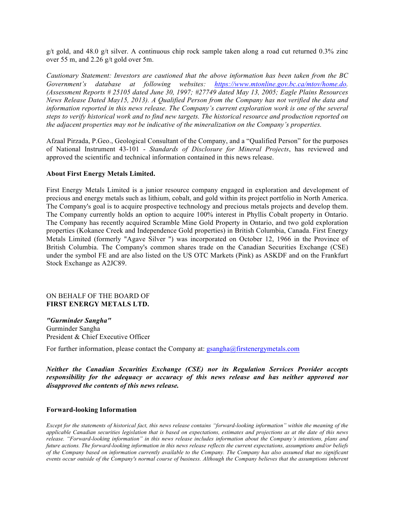g/t gold, and 48.0 g/t silver. A continuous chip rock sample taken along a road cut returned  $0.3\%$  zinc over 55 m, and 2.26 g/t gold over 5m.

*Cautionary Statement: Investors are cautioned that the above information has been taken from the BC Government's database at following websites: https://www.mtonline.gov.bc.ca/mtov/home.do. (Assessment Reports # 25105 dated June 30, 1997; #27749 dated May 13, 2005; Eagle Plains Resources News Release Dated May15, 2013). A Qualified Person from the Company has not verified the data and information reported in this news release. The Company's current exploration work is one of the several steps to verify historical work and to find new targets. The historical resource and production reported on the adjacent properties may not be indicative of the mineralization on the Company's properties.* 

Afzaal Pirzada, P.Geo., Geological Consultant of the Company, and a "Qualified Person" for the purposes of National Instrument 43-101 - *Standards of Disclosure for Mineral Projects*, has reviewed and approved the scientific and technical information contained in this news release.

#### **About First Energy Metals Limited.**

First Energy Metals Limited is a junior resource company engaged in exploration and development of precious and energy metals such as lithium, cobalt, and gold within its project portfolio in North America. The Company's goal is to acquire prospective technology and precious metals projects and develop them. The Company currently holds an option to acquire 100% interest in Phyllis Cobalt property in Ontario. The Company has recently acquired Scramble Mine Gold Property in Ontario, and two gold exploration properties (Kokanee Creek and Independence Gold properties) in British Columbia, Canada. First Energy Metals Limited (formerly "Agave Silver ") was incorporated on October 12, 1966 in the Province of British Columbia. The Company's common shares trade on the Canadian Securities Exchange (CSE) under the symbol FE and are also listed on the US OTC Markets (Pink) as ASKDF and on the Frankfurt Stock Exchange as A2JC89.

#### ON BEHALF OF THE BOARD OF **FIRST ENERGY METALS LTD.**

*"Gurminder Sangha"* Gurminder Sangha President & Chief Executive Officer

For further information, please contact the Company at: gsangha@firstenergymetals.com

*Neither the Canadian Securities Exchange (CSE) nor its Regulation Services Provider accepts*  responsibility for the adequacy or accuracy of this news release and has neither approved nor *disapproved the contents of this news release.*

#### **Forward-looking Information**

*Except for the statements of historical fact, this news release contains "forward-looking information" within the meaning of the applicable Canadian securities legislation that is based on expectations, estimates and projections as at the date of this news release. "Forward-looking information" in this news release includes information about the Company's intentions, plans and future actions. The forward-looking information in this news release reflects the current expectations, assumptions and/or beliefs of the Company based on information currently available to the Company. The Company has also assumed that no significant events occur outside of the Company's normal course of business. Although the Company believes that the assumptions inherent*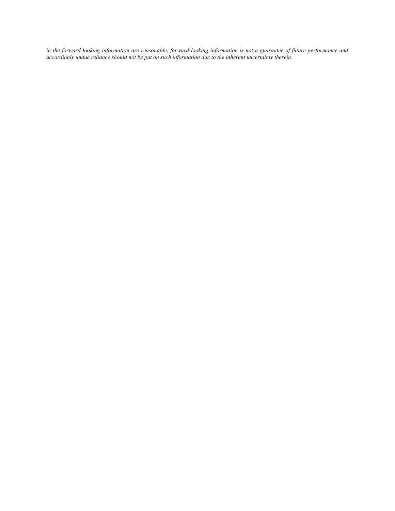*in the forward-looking information are reasonable, forward-looking information is not a guarantee of future performance and accordingly undue reliance should not be put on such information due to the inherent uncertainty therein.*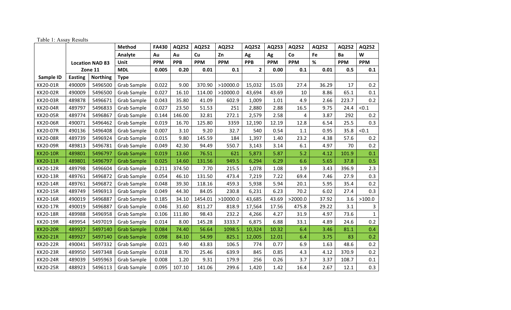## Table 1: Assay Results

|                 |                        |                 | Method             | <b>FA430</b> | AQ252      | AQ252      | AQ252      | AQ252        | AQ253      | AQ252      | AQ252 | AQ252      | AQ252        |
|-----------------|------------------------|-----------------|--------------------|--------------|------------|------------|------------|--------------|------------|------------|-------|------------|--------------|
|                 |                        |                 | Analyte            | Au           | Au         | Cu         | Zn         | Ag           | Ag         | Co         | Fe    | Ba         | W            |
|                 | <b>Location NAD 83</b> |                 | Unit               | <b>PPM</b>   | <b>PPB</b> | <b>PPM</b> | <b>PPM</b> | <b>PPB</b>   | <b>PPM</b> | <b>PPM</b> | %     | <b>PPM</b> | <b>PPM</b>   |
|                 | Zone 11                |                 | <b>MDL</b>         | 0.005        | 0.20       | 0.01       | 0.1        | $\mathbf{2}$ | 0.00       | 0.1        | 0.01  | 0.5        | 0.1          |
| Sample ID       | <b>Easting</b>         | <b>Northing</b> | <b>Type</b>        |              |            |            |            |              |            |            |       |            |              |
| KK20-01R        | 490009                 | 5496500         | Grab Sample        | 0.022        | 9.00       | 370.90     | >10000.0   | 15,032       | 15.03      | 27.4       | 36.29 | 17         | 0.2          |
| <b>KK20-02R</b> | 490009                 | 5496500         | Grab Sample        | 0.027        | 16.10      | 114.00     | >10000.0   | 43,694       | 43.69      | 10         | 8.86  | 65.1       | 0.1          |
| <b>KK20-03R</b> | 489878                 | 5496671         | Grab Sample        | 0.043        | 35.80      | 41.09      | 602.9      | 1,009        | 1.01       | 4.9        | 2.66  | 223.7      | 0.2          |
| <b>KK20-04R</b> | 489797                 | 5496833         | Grab Sample        | 0.027        | 23.50      | 51.53      | 251        | 2,880        | 2.88       | 16.5       | 9.75  | 24.4       | < 0.1        |
| <b>KK20-05R</b> | 489774                 | 5496867         | Grab Sample        | 0.144        | 146.00     | 32.81      | 272.1      | 2,579        | 2.58       | 4          | 3.87  | 292        | 0.2          |
| <b>KK20-06R</b> | 490071                 | 5496462         | Grab Sample        | 0.019        | 16.70      | 125.80     | 3359       | 12,190       | 12.19      | 12.8       | 6.54  | 25.5       | 0.3          |
| <b>KK20-07R</b> | 490136                 | 5496408         | Grab Sample        | 0.007        | 3.10       | 9.20       | 32.7       | 540          | 0.54       | 1.1        | 0.95  | 35.8       | < 0.1        |
| <b>KK20-08R</b> | 489739                 | 5496924         | Grab Sample        | 0.015        | 9.80       | 145.59     | 184        | 1,397        | 1.40       | 23.2       | 4.38  | 57.6       | 0.2          |
| <b>KK20-09R</b> | 489813                 | 5496781         | <b>Grab Sample</b> | 0.049        | 42.30      | 94.49      | 550.7      | 3,143        | 3.14       | 6.1        | 4.97  | 70         | $0.2\,$      |
| <b>KK20-10R</b> | 489801                 | 5496797         | <b>Grab Sample</b> | 0.019        | 13.60      | 76.51      | 621        | 5,873        | 5.87       | 5.2        | 4.12  | 101.9      | 0.1          |
| <b>KK20-11R</b> | 489801                 | 5496797         | <b>Grab Sample</b> | 0.025        | 14.60      | 131.56     | 949.5      | 6,294        | 6.29       | 6.6        | 5.65  | 37.8       | 0.5          |
| <b>KK20-12R</b> | 489798                 | 5496604         | Grab Sample        | 0.211        | 374.50     | 7.70       | 215.5      | 1,078        | 1.08       | 1.9        | 3.43  | 396.9      | 2.3          |
| <b>KK20-13R</b> | 489761                 | 5496872         | <b>Grab Sample</b> | 0.054        | 46.10      | 131.50     | 473.4      | 7,219        | 7.22       | 69.4       | 7.46  | 27.9       | 0.3          |
| <b>KK20-14R</b> | 489761                 | 5496872         | Grab Sample        | 0.048        | 39.30      | 118.16     | 459.3      | 5,938        | 5.94       | 20.1       | 5.95  | 35.4       | 0.2          |
| <b>KK20-15R</b> | 489749                 | 5496913         | Grab Sample        | 0.049        | 44.30      | 84.05      | 230.8      | 6,231        | 6.23       | 70.2       | 6.02  | 27.4       | 0.3          |
| <b>KK20-16R</b> | 490019                 | 5496887         | Grab Sample        | 0.185        | 34.10      | 1454.01    | >10000.0   | 43,685       | 43.69      | >2000.0    | 37.92 | 3.6        | >100.0       |
| <b>KK20-17R</b> | 490019                 | 5496887         | Grab Sample        | 0.046        | 31.60      | 811.27     | 818.9      | 17,564       | 17.56      | 475.8      | 29.22 | 3.1        | 3            |
| <b>KK20-18R</b> | 489988                 | 5496958         | Grab Sample        | 0.106        | 111.80     | 98.43      | 232.2      | 4,266        | 4.27       | 31.9       | 4.97  | 73.6       | $\mathbf{1}$ |
| <b>KK20-19R</b> | 489954                 | 5497019         | Grab Sample        | 0.014        | 8.00       | 145.28     | 3333.7     | 6,875        | 6.88       | 33.1       | 4.89  | 24.6       | $0.2\,$      |
| <b>KK20-20R</b> | 489927                 | 5497140         | <b>Grab Sample</b> | 0.084        | 74.40      | 56.64      | 1098.5     | 10,324       | 10.32      | 6.4        | 3.46  | 81.1       | 0.4          |
| <b>KK20-21R</b> | 489927                 | 5497140         | <b>Grab Sample</b> | 0.098        | 84.10      | 54.99      | 825.1      | 12,005       | 12.01      | 6.4        | 3.75  | 83         | 0.2          |
| <b>KK20-22R</b> | 490041                 | 5497332         | Grab Sample        | 0.021        | 9.40       | 43.83      | 106.5      | 774          | 0.77       | 6.9        | 1.63  | 48.6       | 0.2          |
| <b>KK20-23R</b> | 489950                 | 5497348         | Grab Sample        | 0.018        | 8.70       | 25.46      | 639.9      | 845          | 0.85       | 4.3        | 4.12  | 370.9      | 0.2          |
| <b>KK20-24R</b> | 489039                 | 5495963         | Grab Sample        | 0.008        | 1.20       | 9.31       | 179.9      | 256          | 0.26       | 3.7        | 3.37  | 108.7      | 0.1          |
| <b>KK20-25R</b> | 488923                 | 5496113         | Grab Sample        | 0.095        | 107.10     | 141.06     | 299.6      | 1,420        | 1.42       | 16.4       | 2.67  | 12.1       | 0.3          |